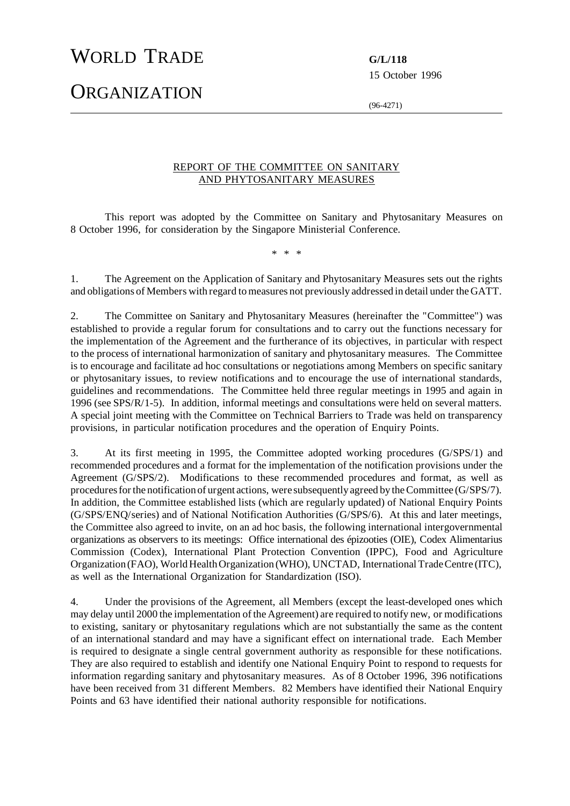## WORLD TRADE **G/L/118**

15 October 1996

**ORGANIZATION** 

(96-4271)

## REPORT OF THE COMMITTEE ON SANITARY AND PHYTOSANITARY MEASURES

This report was adopted by the Committee on Sanitary and Phytosanitary Measures on 8 October 1996, for consideration by the Singapore Ministerial Conference.

\* \* \*

1. The Agreement on the Application of Sanitary and Phytosanitary Measures sets out the rights and obligations of Members with regard to measures not previously addressed in detail under the GATT.

2. The Committee on Sanitary and Phytosanitary Measures (hereinafter the "Committee") was established to provide a regular forum for consultations and to carry out the functions necessary for the implementation of the Agreement and the furtherance of its objectives, in particular with respect to the process of international harmonization of sanitary and phytosanitary measures. The Committee is to encourage and facilitate ad hoc consultations or negotiations among Members on specific sanitary or phytosanitary issues, to review notifications and to encourage the use of international standards, guidelines and recommendations. The Committee held three regular meetings in 1995 and again in 1996 (see SPS/R/1-5). In addition, informal meetings and consultations were held on several matters. A special joint meeting with the Committee on Technical Barriers to Trade was held on transparency provisions, in particular notification procedures and the operation of Enquiry Points.

3. At its first meeting in 1995, the Committee adopted working procedures (G/SPS/1) and recommended procedures and a format for the implementation of the notification provisions under the Agreement (G/SPS/2). Modifications to these recommended procedures and format, as well as procedures for the notification of urgent actions, were subsequently agreed by the Committee (G/SPS/7). In addition, the Committee established lists (which are regularly updated) of National Enquiry Points (G/SPS/ENQ/series) and of National Notification Authorities (G/SPS/6). At this and later meetings, the Committee also agreed to invite, on an ad hoc basis, the following international intergovernmental organizations as observers to its meetings: Office international des épizooties (OIE), Codex Alimentarius Commission (Codex), International Plant Protection Convention (IPPC), Food and Agriculture Organization (FAO), World Health Organization (WHO), UNCTAD, International Trade Centre (ITC), as well as the International Organization for Standardization (ISO).

4. Under the provisions of the Agreement, all Members (except the least-developed ones which may delay until 2000 the implementation of the Agreement) are required to notify new, or modifications to existing, sanitary or phytosanitary regulations which are not substantially the same as the content of an international standard and may have a significant effect on international trade. Each Member is required to designate a single central government authority as responsible for these notifications. They are also required to establish and identify one National Enquiry Point to respond to requests for information regarding sanitary and phytosanitary measures. As of 8 October 1996, 396 notifications have been received from 31 different Members. 82 Members have identified their National Enquiry Points and 63 have identified their national authority responsible for notifications.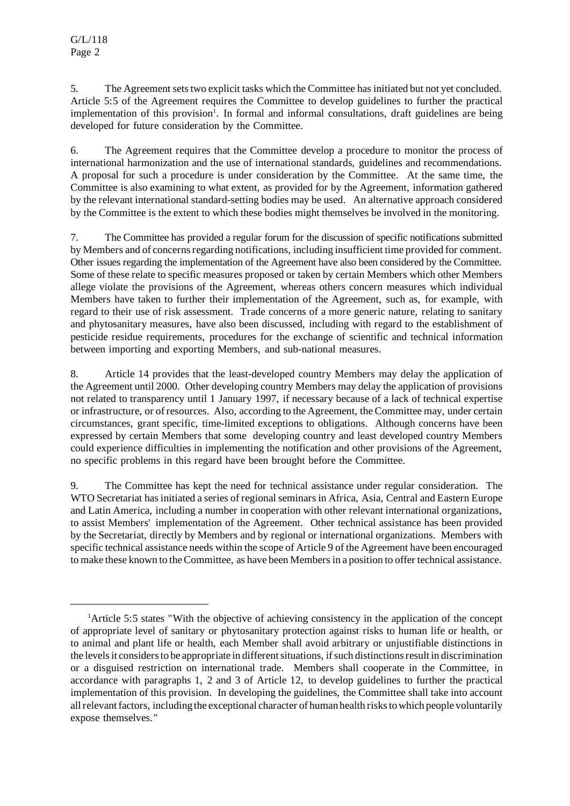5. The Agreement setstwo explicit tasks which the Committee hasinitiated but not yet concluded. Article 5:5 of the Agreement requires the Committee to develop guidelines to further the practical implementation of this provision<sup>1</sup>. In formal and informal consultations, draft guidelines are being developed for future consideration by the Committee.

6. The Agreement requires that the Committee develop a procedure to monitor the process of international harmonization and the use of international standards, guidelines and recommendations. A proposal for such a procedure is under consideration by the Committee. At the same time, the Committee is also examining to what extent, as provided for by the Agreement, information gathered by the relevant international standard-setting bodies may be used. An alternative approach considered by the Committee is the extent to which these bodies might themselves be involved in the monitoring.

7. The Committee has provided a regular forum for the discussion of specific notifications submitted by Members and of concerns regarding notifications, including insufficient time provided for comment. Other issues regarding the implementation of the Agreement have also been considered by the Committee. Some of these relate to specific measures proposed or taken by certain Members which other Members allege violate the provisions of the Agreement, whereas others concern measures which individual Members have taken to further their implementation of the Agreement, such as, for example, with regard to their use of risk assessment. Trade concerns of a more generic nature, relating to sanitary and phytosanitary measures, have also been discussed, including with regard to the establishment of pesticide residue requirements, procedures for the exchange of scientific and technical information between importing and exporting Members, and sub-national measures.

8. Article 14 provides that the least-developed country Members may delay the application of the Agreement until 2000. Other developing country Members may delay the application of provisions not related to transparency until 1 January 1997, if necessary because of a lack of technical expertise orinfrastructure, or ofresources. Also, according to the Agreement, the Committee may, under certain circumstances, grant specific, time-limited exceptions to obligations. Although concerns have been expressed by certain Members that some developing country and least developed country Members could experience difficulties in implementing the notification and other provisions of the Agreement, no specific problems in this regard have been brought before the Committee.

9. The Committee has kept the need for technical assistance under regular consideration. The WTO Secretariat has initiated a series of regional seminars in Africa, Asia, Central and Eastern Europe and Latin America, including a number in cooperation with other relevant international organizations, to assist Members' implementation of the Agreement. Other technical assistance has been provided by the Secretariat, directly by Members and by regional or international organizations. Members with specific technical assistance needs within the scope of Article 9 of the Agreement have been encouraged to make these known to the Committee, as have been Members in a position to offer technical assistance.

<sup>&</sup>lt;sup>1</sup>Article 5:5 states "With the objective of achieving consistency in the application of the concept of appropriate level of sanitary or phytosanitary protection against risks to human life or health, or to animal and plant life or health, each Member shall avoid arbitrary or unjustifiable distinctions in the levels it considers to be appropriate in different situations, if such distinctions result in discrimination or a disguised restriction on international trade. Members shall cooperate in the Committee, in accordance with paragraphs 1, 2 and 3 of Article 12, to develop guidelines to further the practical implementation of this provision. In developing the guidelines, the Committee shall take into account all relevant factors, including the exceptional character of human health risks to which people voluntarily expose themselves."